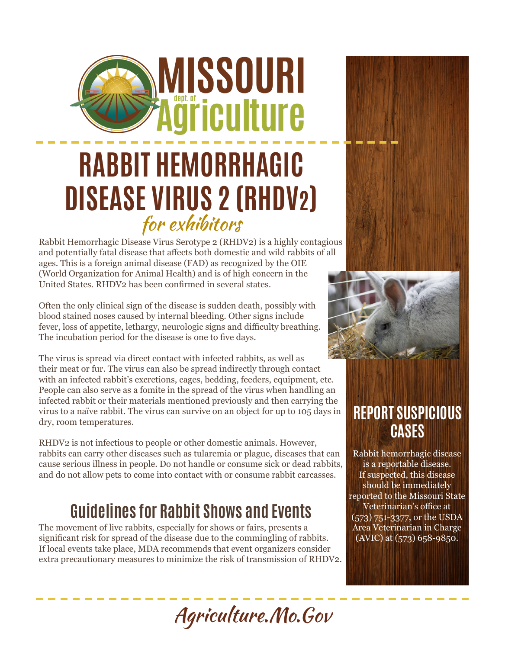## **RABBIT HEMORRHAGIC DISEASE VIRUS 2 (RHDV2)** for exhibitors

**MISSOURI** 

**ğriculture** 

Rabbit Hemorrhagic Disease Virus Serotype 2 (RHDV2) is a highly contagious and potentially fatal disease that affects both domestic and wild rabbits of all ages. This is a foreign animal disease (FAD) as recognized by the OIE (World Organization for Animal Health) and is of high concern in the United States. RHDV2 has been confirmed in several states.

Often the only clinical sign of the disease is sudden death, possibly with blood stained noses caused by internal bleeding. Other signs include fever, loss of appetite, lethargy, neurologic signs and difficulty breathing. The incubation period for the disease is one to five days.

The virus is spread via direct contact with infected rabbits, as well as their meat or fur. The virus can also be spread indirectly through contact with an infected rabbit's excretions, cages, bedding, feeders, equipment, etc. People can also serve as a fomite in the spread of the virus when handling an infected rabbit or their materials mentioned previously and then carrying the virus to a naïve rabbit. The virus can survive on an object for up to 105 days in dry, room temperatures.

RHDV2 is not infectious to people or other domestic animals. However, rabbits can carry other diseases such as tularemia or plague, diseases that can cause serious illness in people. Do not handle or consume sick or dead rabbits, and do not allow pets to come into contact with or consume rabbit carcasses.

### **Guidelines for Rabbit Shows and Events**

The movement of live rabbits, especially for shows or fairs, presents a significant risk for spread of the disease due to the commingling of rabbits. If local events take place, MDA recommends that event organizers consider extra precautionary measures to minimize the risk of transmission of RHDV2.

## **REPORT SUSPICIOUS CASES**

Rabbit hemorrhagic disease is a reportable disease. If suspected, this disease should be immediately reported to the Missouri State Veterinarian's office at (573) 751-3377, or the USDA Area Veterinarian in Charge  $(AVIC)$  at  $(573)$  658-9850.

Agriculture.Mo.Gov